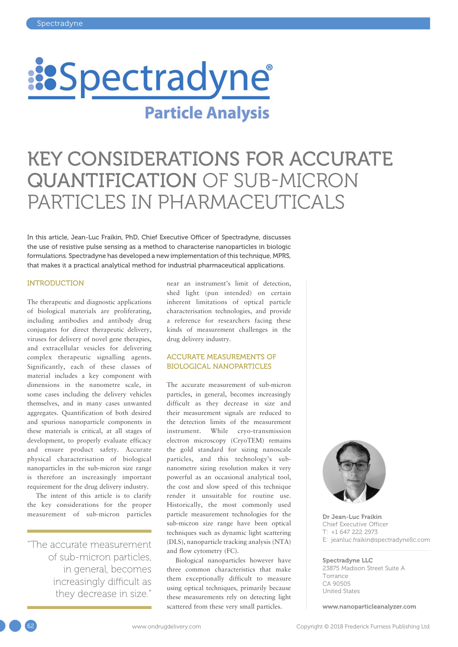

# KEY CONSIDERATIONS FOR ACCURATE QUANTIFICATION OF SUB-MICRON PARTICLES IN PHARMACEUTICALS

In this article, Jean-Luc Fraikin, PhD, Chief Executive Officer of Spectradyne, discusses the use of resistive pulse sensing as a method to characterise nanoparticles in biologic formulations. Spectradyne has developed a new implementation of this technique, MPRS, that makes it a practical analytical method for industrial pharmaceutical applications.

#### **INTRODUCTION**

The therapeutic and diagnostic applications of biological materials are proliferating, including antibodies and antibody drug conjugates for direct therapeutic delivery, viruses for delivery of novel gene therapies, and extracellular vesicles for delivering complex therapeutic signalling agents. Significantly, each of these classes of material includes a key component with dimensions in the nanometre scale, in some cases including the delivery vehicles themselves, and in many cases unwanted aggregates. Quantification of both desired and spurious nanoparticle components in these materials is critical, at all stages of development, to properly evaluate efficacy and ensure product safety. Accurate physical characterisation of biological nanoparticles in the sub-micron size range is therefore an increasingly important requirement for the drug delivery industry.

The intent of this article is to clarify the key considerations for the proper measurement of sub-micron particles

"The accurate measurement of sub-micron particles, in general, becomes increasingly difficult as they decrease in size."

near an instrument's limit of detection, shed light (pun intended) on certain inherent limitations of optical particle characterisation technologies, and provide a reference for researchers facing these kinds of measurement challenges in the drug delivery industry.

# ACCURATE MEASUREMENTS OF BIOLOGICAL NANOPARTICLES

The accurate measurement of sub-micron particles, in general, becomes increasingly difficult as they decrease in size and their measurement signals are reduced to the detection limits of the measurement instrument. While cryo-transmission electron microscopy (CryoTEM) remains the gold standard for sizing nanoscale particles, and this technology's subnanometre sizing resolution makes it very powerful as an occasional analytical tool, the cost and slow speed of this technique render it unsuitable for routine use. Historically, the most commonly used particle measurement technologies for the sub-micron size range have been optical techniques such as dynamic light scattering (DLS), nanoparticle tracking analysis (NTA) and flow cytometry (FC).

Biological nanoparticles however have three common characteristics that make them exceptionally difficult to measure using optical techniques, primarily because these measurements rely on detecting light scattered from these very small particles.



Dr Jean-Luc Fraikin Chief Executive Officer T: +1 647 222 2973 E: [jeanluc.fraikin@spectradynellc.com](mailto:jeanluc.fraikin@spectradynellc.com )

#### Spectradyne LLC

23875 Madison Street Suite A Torrance CA 90505 United States

[www.nanoparticleanalyzer.com](http://www.nanoparticleanalyzer.com)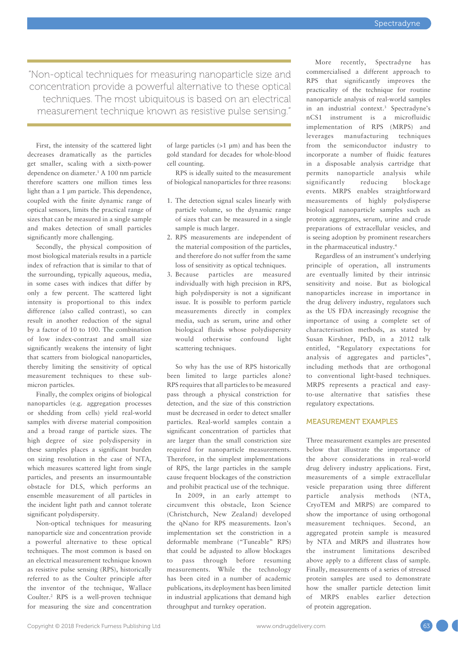"Non-optical techniques for measuring nanoparticle size and concentration provide a powerful alternative to these optical techniques. The most ubiquitous is based on an electrical measurement technique known as resistive pulse sensing."

First, the intensity of the scattered light decreases dramatically as the particles get smaller, scaling with a sixth-power dependence on diameter.1 A 100 nm particle therefore scatters one million times less light than a 1 µm particle. This dependence, coupled with the finite dynamic range of optical sensors, limits the practical range of sizes that can be measured in a single sample and makes detection of small particles significantly more challenging.

Secondly, the physical composition of most biological materials results in a particle index of refraction that is similar to that of the surrounding, typically aqueous, media, in some cases with indices that differ by only a few percent. The scattered light intensity is proportional to this index difference (also called contrast), so can result in another reduction of the signal by a factor of 10 to 100. The combination of low index-contrast and small size significantly weakens the intensity of light that scatters from biological nanoparticles, thereby limiting the sensitivity of optical measurement techniques to these submicron particles.

Finally, the complex origins of biological nanoparticles (e.g. aggregation processes or shedding from cells) yield real-world samples with diverse material composition and a broad range of particle sizes. The high degree of size polydispersity in these samples places a significant burden on sizing resolution in the case of NTA, which measures scattered light from single particles, and presents an insurmountable obstacle for DLS, which performs an ensemble measurement of all particles in the incident light path and cannot tolerate significant polydispersity.

Non-optical techniques for measuring nanoparticle size and concentration provide a powerful alternative to these optical techniques. The most common is based on an electrical measurement technique known as resistive pulse sensing (RPS), historically referred to as the Coulter principle after the inventor of the technique, Wallace Coulter.2 RPS is a well-proven technique for measuring the size and concentration

of large particles (>1 µm) and has been the gold standard for decades for whole-blood cell counting.

RPS is ideally suited to the measurement of biological nanoparticles for three reasons:

- 1. The detection signal scales linearly with particle volume, so the dynamic range of sizes that can be measured in a single sample is much larger.
- 2. RPS measurements are independent of the material composition of the particles, and therefore do not suffer from the same loss of sensitivity as optical techniques.
- 3. Because particles are measured individually with high precision in RPS, high polydispersity is not a significant issue. It is possible to perform particle measurements directly in complex media, such as serum, urine and other biological fluids whose polydispersity would otherwise confound light scattering techniques.

So why has the use of RPS historically been limited to large particles alone? RPS requires that all particles to be measured pass through a physical constriction for detection, and the size of this constriction must be decreased in order to detect smaller particles. Real-world samples contain a significant concentration of particles that are larger than the small constriction size required for nanoparticle measurements. Therefore, in the simplest implementations of RPS, the large particles in the sample cause frequent blockages of the constriction and prohibit practical use of the technique.

In 2009, in an early attempt to circumvent this obstacle, Izon Science (Christchurch, New Zealand) developed the qNano for RPS measurements. Izon's implementation set the constriction in a deformable membrane ("Tuneable" RPS) that could be adjusted to allow blockages to pass through before resuming measurements. While the technology has been cited in a number of academic publications, its deployment has been limited in industrial applications that demand high throughput and turnkey operation.

More recently, Spectradyne has commercialised a different approach to RPS that significantly improves the practicality of the technique for routine nanoparticle analysis of real-world samples in an industrial context.3 Spectradyne's nCS1 instrument is a microfluidic implementation of RPS (MRPS) and leverages manufacturing techniques from the semiconductor industry to incorporate a number of fluidic features in a disposable analysis cartridge that permits nanoparticle analysis while significantly reducing blockage events. MRPS enables straightforward measurements of highly polydisperse biological nanoparticle samples such as protein aggregates, serum, urine and crude preparations of extracellular vesicles, and is seeing adoption by prominent researchers in the pharmaceutical industry.4

Regardless of an instrument's underlying principle of operation, all instruments are eventually limited by their intrinsic sensitivity and noise. But as biological nanoparticles increase in importance in the drug delivery industry, regulators such as the US FDA increasingly recognise the importance of using a complete set of characterisation methods, as stated by Susan Kirshner, PhD, in a 2012 talk entitled, "Regulatory expectations for analysis of aggregates and particles", including methods that are orthogonal to conventional light-based techniques. MRPS represents a practical and easyto-use alternative that satisfies these regulatory expectations.

# MEASUREMENT EXAMPLES

Three measurement examples are presented below that illustrate the importance of the above considerations in real-world drug delivery industry applications. First, measurements of a simple extracellular vesicle preparation using three different particle analysis methods (NTA, CryoTEM and MRPS) are compared to show the importance of using orthogonal measurement techniques. Second, an aggregated protein sample is measured by NTA and MRPS and illustrates how the instrument limitations described above apply to a different class of sample. Finally, measurements of a series of stressed protein samples are used to demonstrate how the smaller particle detection limit of MRPS enables earlier detection of protein aggregation.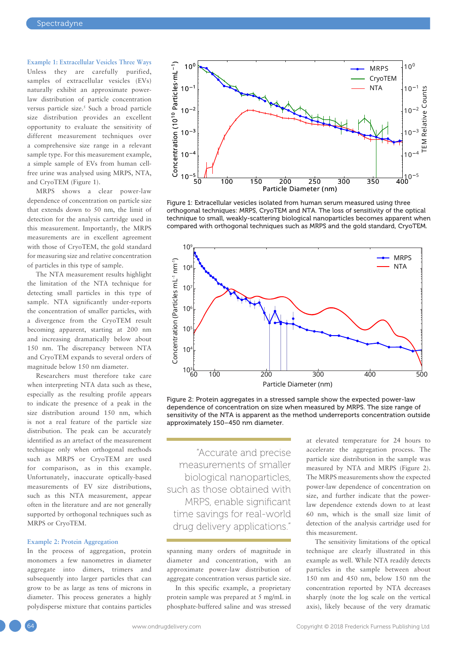**Example 1: Extracellular Vesicles Three Ways** Unless they are carefully purified, samples of extracellular vesicles (EVs) naturally exhibit an approximate powerlaw distribution of particle concentration versus particle size.<sup>5</sup> Such a broad particle size distribution provides an excellent opportunity to evaluate the sensitivity of different measurement techniques over a comprehensive size range in a relevant sample type. For this measurement example, a simple sample of EVs from human cellfree urine was analysed using MRPS, NTA, and CryoTEM (Figure 1).

MRPS shows a clear power-law dependence of concentration on particle size that extends down to 50 nm, the limit of detection for the analysis cartridge used in this measurement. Importantly, the MRPS measurements are in excellent agreement with those of CryoTEM, the gold standard for measuring size and relative concentration of particles in this type of sample.

The NTA measurement results highlight the limitation of the NTA technique for detecting small particles in this type of sample. NTA significantly under-reports the concentration of smaller particles, with a divergence from the CryoTEM result becoming apparent, starting at 200 nm and increasing dramatically below about 150 nm. The discrepancy between NTA and CryoTEM expands to several orders of magnitude below 150 nm diameter.

Researchers must therefore take care when interpreting NTA data such as these, especially as the resulting profile appears to indicate the presence of a peak in the size distribution around 150 nm, which is not a real feature of the particle size distribution. The peak can be accurately identified as an artefact of the measurement technique only when orthogonal methods such as MRPS or CryoTEM are used for comparison, as in this example. Unfortunately, inaccurate optically-based measurements of EV size distributions, such as this NTA measurement, appear often in the literature and are not generally supported by orthogonal techniques such as MRPS or CryoTEM.

#### **Example 2: Protein Aggregation**

In the process of aggregation, protein monomers a few nanometres in diameter aggregate into dimers, trimers and subsequently into larger particles that can grow to be as large as tens of microns in diameter. This process generates a highly polydisperse mixture that contains particles



Figure 1: Extracellular vesicles isolated from human serum measured using three orthogonal techniques: MRPS, CryoTEM and NTA. The loss of sensitivity of the optical technique to small, weakly-scattering biological nanoparticles becomes apparent when compared with orthogonal techniques such as MRPS and the gold standard, CryoTEM.



Figure 2: Protein aggregates in a stressed sample show the expected power-law dependence of concentration on size when measured by MRPS. The size range of sensitivity of the NTA is apparent as the method underreports concentration outside approximately 150–450 nm diameter.

"Accurate and precise measurements of smaller biological nanoparticles, such as those obtained with MRPS, enable significant time savings for real-world drug delivery applications."

spanning many orders of magnitude in diameter and concentration, with an approximate power-law distribution of aggregate concentration versus particle size.

In this specific example, a proprietary protein sample was prepared at 5 mg/mL in phosphate-buffered saline and was stressed at elevated temperature for 24 hours to accelerate the aggregation process. The particle size distribution in the sample was measured by NTA and MRPS (Figure 2). The MRPS measurements show the expected power-law dependence of concentration on size, and further indicate that the powerlaw dependence extends down to at least 60 nm, which is the small size limit of detection of the analysis cartridge used for this measurement.

The sensitivity limitations of the optical technique are clearly illustrated in this example as well. While NTA readily detects particles in the sample between about 150 nm and 450 nm, below 150 nm the concentration reported by NTA decreases sharply (note the log scale on the vertical axis), likely because of the very dramatic